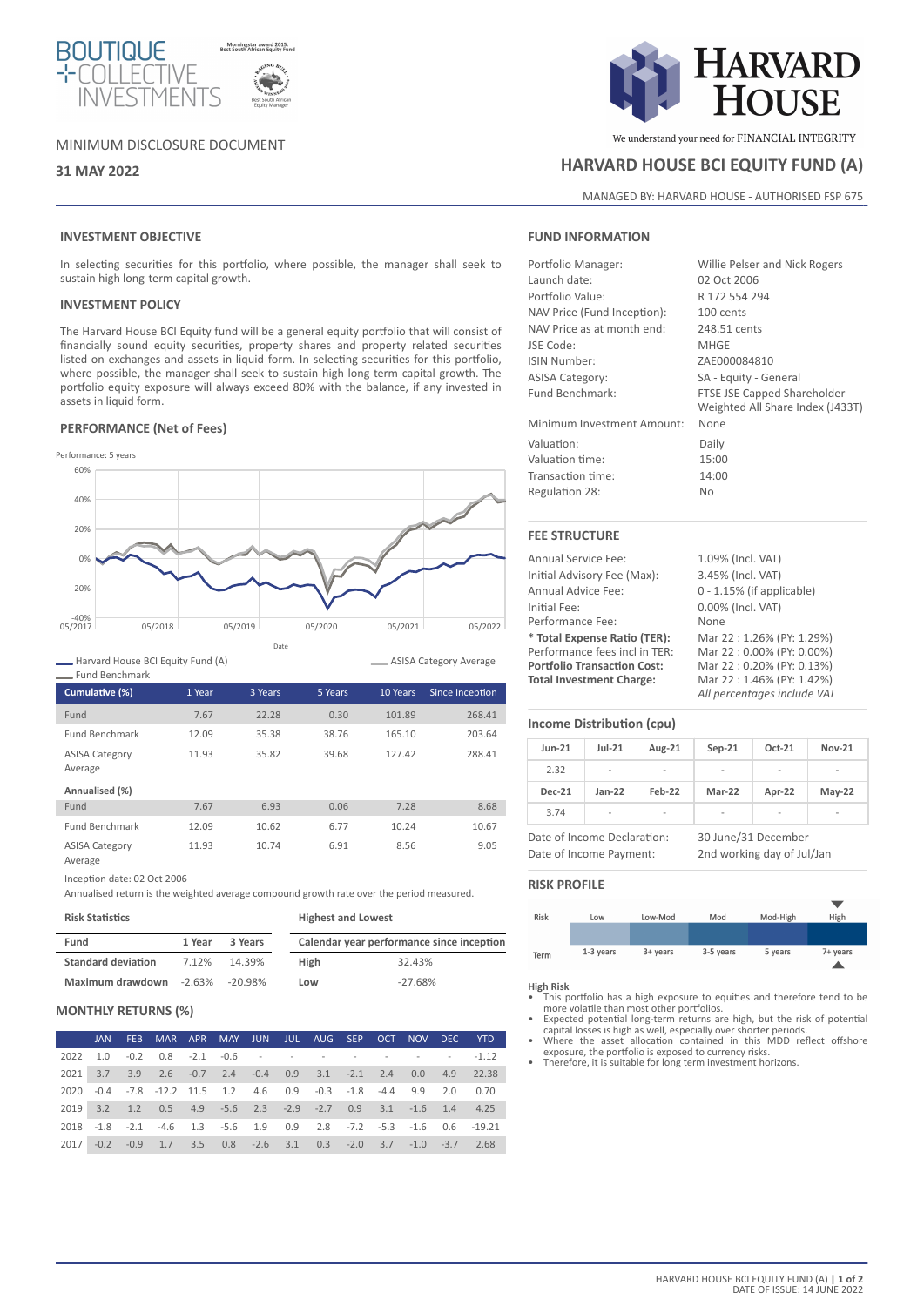

# MINIMUM DISCLOSURE DOCUMENT

# **INVESTMENT OBJECTIVE**

In selecting securities for this portfolio, where possible, the manager shall seek to sustain high long-term capital growth.

# **INVESTMENT POLICY**

The Harvard House BCI Equity fund will be a general equity portfolio that will consist of financially sound equity securities, property shares and property related securities listed on exchanges and assets in liquid form. In selecting securities for this portfolio, where possible, the manager shall seek to sustain high long-term capital growth. The portfolio equity exposure will always exceed 80% with the balance, if any invested in assets in liquid form.

## **PERFORMANCE (Net of Fees)**



Harvard House BCI Equity Fund (A) Fund Benchmark

| <b>FUILLE DELICITIER</b>         |        |         |         |          |                 |  |  |  |  |
|----------------------------------|--------|---------|---------|----------|-----------------|--|--|--|--|
| Cumulative (%)                   | 1 Year | 3 Years | 5 Years | 10 Years | Since Inception |  |  |  |  |
| Fund                             | 7.67   | 22.28   | 0.30    | 101.89   | 268.41          |  |  |  |  |
| <b>Fund Benchmark</b>            | 12.09  | 35.38   | 38.76   | 165.10   | 203.64          |  |  |  |  |
| <b>ASISA Category</b><br>Average | 11.93  | 35.82   | 39.68   | 127.42   | 288.41          |  |  |  |  |
| Annualised (%)                   |        |         |         |          |                 |  |  |  |  |
| Fund                             | 7.67   | 6.93    | 0.06    | 7.28     | 8.68            |  |  |  |  |
| <b>Fund Benchmark</b>            | 12.09  | 10.62   | 6.77    | 10.24    | 10.67           |  |  |  |  |

ASISA Category

Average

Inception date: 02 Oct 2006

Annualised return is the weighted average compound growth rate over the period measured.

11.93 10.74 6.91 8.56 9.05

| <b>Risk Statistics</b>    |        |                    | <b>Highest and Lowest</b> |                                           |  |  |
|---------------------------|--------|--------------------|---------------------------|-------------------------------------------|--|--|
| Fund                      | 1 Year | 3 Years            |                           | Calendar year performance since inception |  |  |
| <b>Standard deviation</b> | 7.12%  | 14.39%             | High                      | 32.43%                                    |  |  |
| Maximum drawdown          |        | $-2.63\% -20.98\%$ | Low                       | $-27.68%$                                 |  |  |

## **MONTHLY RETURNS (%)**

|      |  | JAN FEB MAR APR MAY JUN JUL AUG SEP OCT NOV DEC YTD               |  |  |  |  |                                                                    |
|------|--|-------------------------------------------------------------------|--|--|--|--|--------------------------------------------------------------------|
| 2022 |  |                                                                   |  |  |  |  |                                                                    |
|      |  |                                                                   |  |  |  |  | 2021 3.7 3.9 2.6 -0.7 2.4 -0.4 0.9 3.1 -2.1 2.4 0.0 4.9 22.38      |
|      |  | 2020 -0.4 -7.8 -12.2 11.5 1.2 4.6 0.9 -0.3 -1.8 -4.4 9.9 2.0 0.70 |  |  |  |  |                                                                    |
|      |  | 2019 3.2 1.2 0.5 4.9 -5.6 2.3 -2.9 -2.7 0.9 3.1 -1.6 1.4 4.25     |  |  |  |  |                                                                    |
|      |  |                                                                   |  |  |  |  | 2018 -1.8 -2.1 -4.6 1.3 -5.6 1.9 0.9 2.8 -7.2 -5.3 -1.6 0.6 -19.21 |
|      |  | 2017 -0.2 -0.9 1.7 3.5 0.8 -2.6 3.1 0.3 -2.0 3.7 -1.0 -3.7 2.68   |  |  |  |  |                                                                    |



We understand your need for FINANCIAL INTEGRITY

# **31 MAY 2022 HARVARD HOUSE BCI EQUITY FUND (A)**

MANAGED BY: HARVARD HOUSE - AUTHORISED FSP 675

#### **FUND INFORMATION**

Portfolio Manager: Willie Pelser and Nick Rogers Launch date: 02 Oct 2006 Portfolio Value: R 172 554 294 NAV Price (Fund Inception): 100 cents NAV Price as at month end: 248.51 cents JSE Code: MHGE ISIN Number: ZAE000084810 ASISA Category: SA - Equity - General Fund Benchmark: FTSE JSE Capped Shareholder

Minimum Investment Amount: None Valuation: Daily Valuation time: 15:00 Transaction time: 14:00

Regulation 28: No

# **FEE STRUCTURE**

Annual Service Fee: 1.09% (Incl. VAT) Initial Advisory Fee (Max): 3.45% (Incl. VAT) Annual Advice Fee: 0 - 1.15% (if applicable) Initial Fee: 0.00% (Incl. VAT) Performance Fee: None **\* Total Expense Ratio (TER):** Mar 22 : 1.26% (PY: 1.29%) Performance fees incl in TER:<br>Portfolio Transaction Cost: **Portfolio Transaction Cost:** Mar 22 : 0.20% (PY: 0.13%)<br> **Total Investment Charge:** Mar 22 : 1.46% (PY: 1.42%)

**Total Investment Charge:** Mar 22 : 1.46% (PY: 1.42%) *All percentages include VAT*

Weighted All Share Index (J433T)

# **Income Distribution (cpu)**

| $Jun-21$                    | $Jul-21$ | Aug-21 | $Sep-21$            | Oct-21 | <b>Nov-21</b> |
|-----------------------------|----------|--------|---------------------|--------|---------------|
| 2.32                        | -        |        | ۰                   |        | -             |
| <b>Dec-21</b>               | $Jan-22$ | Feb-22 | Mar-22              | Apr-22 | $May-22$      |
| 3.74                        | ۰        | -      |                     |        |               |
| Date of Income Declaration: |          |        | 30 June/31 December |        |               |

Date of Income Payment: 2nd working day of Jul/Jan

## **RISK PROFILE**



**High Risk**

- This portfolio has a high exposure to equities and therefore tend to be more volatile than most other portfolios. • Expected potential long-term returns are high, but the risk of potential
- capital losses is high as well, especially over shorter periods. Where the asset allocation contained in this MDD reflect offshore
- exposure, the portfolio is exposed to currency risks. Therefore, it is suitable for long term investment horizons.